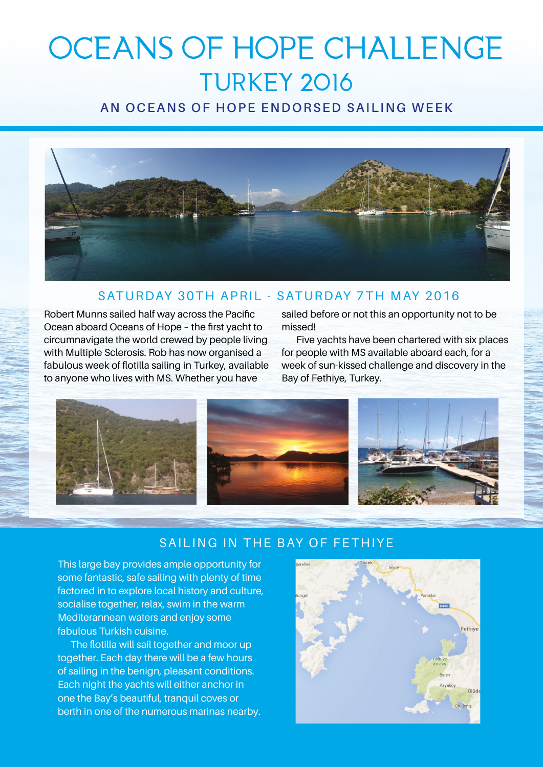# OCEANS OF HOPE CHALLENGE TURKEY 2016

### **AN OCEANS OF HOPE ENDORSED SAILING WEEK**



#### SATURDAY 30TH APRIL - SATURDAY 7TH MAY 2016

Robert Munns sailed half way across the Pacific Ocean aboard Oceans of Hope – the first yacht to circumnavigate the world crewed by people living with Multiple Sclerosis. Rob has now organised a fabulous week of flotilla sailing in Turkey, available to anyone who lives with MS. Whether you have

sailed before or not this an opportunity not to be missed!

Five yachts have been chartered with six places for people with MS available aboard each, for a week of sun-kissed challenge and discovery in the Bay of Fethiye, Turkey.



#### SAILING IN THE BAY OF FETHIYE

This large bay provides ample opportunity for some fantastic, safe sailing with plenty of time factored in to explore local history and culture, socialise together, relax, swim in the warm Mediterannean waters and enjoy some fabulous Turkish cuisine.

The flotilla will sail together and moor up together. Each day there will be a few hours of sailing in the benign, pleasant conditions. Each night the yachts will either anchor in one the Bay's beautiful, tranquil coves or berth in one of the numerous marinas nearby.